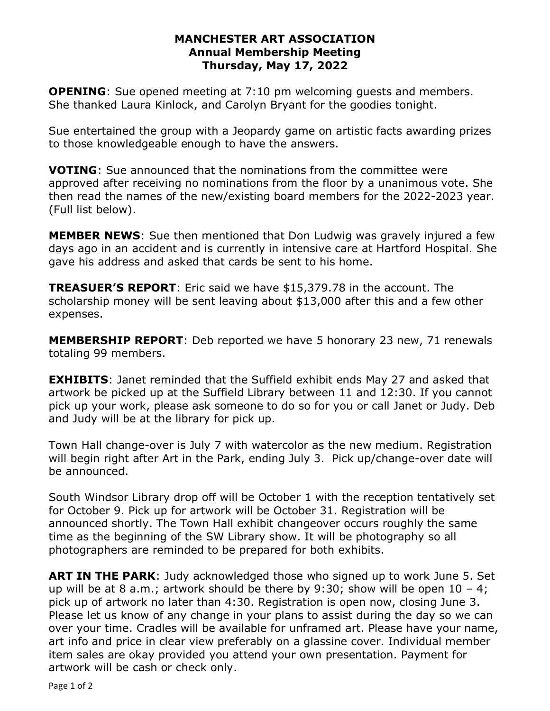#### **MANCHESTER ART ASSOCIATION Annual Membership Meeting Thursday, May 17, 2022**

**OPENING**: Sue opened meeting at 7:10 pm welcoming quests and members. She thanked Laura Kinlock, and Carolyn Bryant for the goodies tonight.

Sue entertained the group with a Jeopardy game on artistic facts awarding prizes to those knowledgeable enough to have the answers.

**VOTING**: Sue announced that the nominations from the committee were approved after receiving no nominations from the floor by a unanimous vote. She then read the names of the new/existing board members for the 2022-2023 year. (Full list below).

**MEMBER NEWS**: Sue then mentioned that Don Ludwig was gravely injured a few days ago in an accident and is currently in intensive care at Hartford Hospital. She gave his address and asked that cards be sent to his home.

**TREASUER'S REPORT**: Eric said we have \$15,379.78 in the account. The scholarship money will be sent leaving about \$13,000 after this and a few other expenses.

**MEMBERSHIP REPORT**: Deb reported we have 5 honorary 23 new, 71 renewals totaling 99 members.

**EXHIBITS**: Janet reminded that the Suffield exhibit ends May 27 and asked that artwork be picked up at the Suffield Library between 11 and 12:30. If you cannot pick up your work, please ask someone to do so for you or call Janet or Judy. Deb and Judy will be at the library for pick up.

Town Hall change-over is July 7 with watercolor as the new medium. Registration will begin right after Art in the Park, ending July 3. Pick up/change-over date will be announced.

South Windsor Library drop off will be October 1 with the reception tentatively set for October 9. Pick up for artwork will be October 31. Registration will be announced shortly. The Town Hall exhibit changeover occurs roughly the same time as the beginning of the SW Library show. It will be photography so all photographers are reminded to be prepared for both exhibits.

**ART IN THE PARK**: Judy acknowledged those who signed up to work June 5. Set up will be at 8 a.m.; artwork should be there by 9:30; show will be open  $10 - 4$ ; pick up of artwork no later than 4:30. Registration is open now, closing June 3. Please let us know of any change in your plans to assist during the day so we can over your time. Cradles will be available for unframed art. Please have your name, art info and price in clear view preferably on a glassine cover. Individual member item sales are okay provided you attend your own presentation. Payment for artwork will be cash or check only.